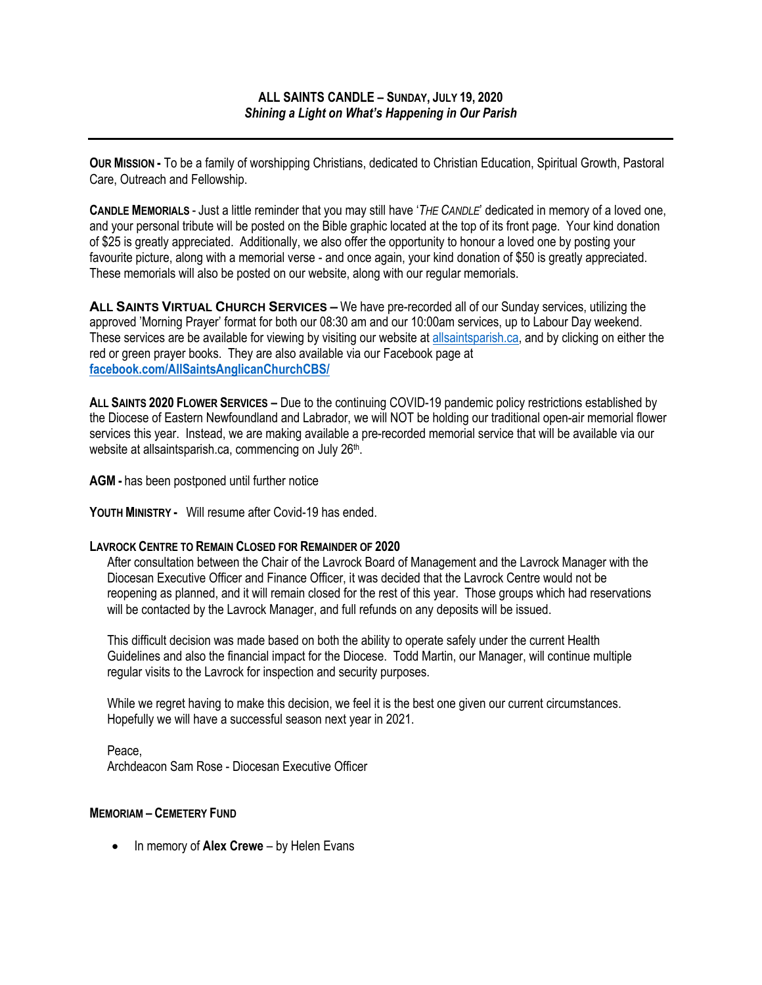**OUR MISSION -** To be a family of worshipping Christians, dedicated to Christian Education, Spiritual Growth, Pastoral Care, Outreach and Fellowship.

**CANDLE MEMORIALS** - Just a little reminder that you may still have '*THE CANDLE*' dedicated in memory of a loved one, and your personal tribute will be posted on the Bible graphic located at the top of its front page. Your kind donation of \$25 is greatly appreciated. Additionally, we also offer the opportunity to honour a loved one by posting your favourite picture, along with a memorial verse - and once again, your kind donation of \$50 is greatly appreciated. These memorials will also be posted on our website, along with our regular memorials.

**ALL SAINTS VIRTUAL CHURCH SERVICES –** We have pre-recorded all of our Sunday services, utilizing the approved 'Morning Prayer' format for both our 08:30 am and our 10:00am services, up to Labour Day weekend. These services are be available for viewing by visiting our website at allsaintsparish.ca, and by clicking on either the red or green prayer books. They are also available via our Facebook page at **facebook.com/AllSaintsAnglicanChurchCBS/**

**ALL SAINTS 2020 FLOWER SERVICES –** Due to the continuing COVID-19 pandemic policy restrictions established by the Diocese of Eastern Newfoundland and Labrador, we will NOT be holding our traditional open-air memorial flower services this year. Instead, we are making available a pre-recorded memorial service that will be available via our website at allsaintsparish.ca, commencing on July 26<sup>th</sup>.

**AGM -** has been postponed until further notice

**YOUTH MINISTRY -** Will resume after Covid-19 has ended.

## **LAVROCK CENTRE TO REMAIN CLOSED FOR REMAINDER OF 2020**

After consultation between the Chair of the Lavrock Board of Management and the Lavrock Manager with the Diocesan Executive Officer and Finance Officer, it was decided that the Lavrock Centre would not be reopening as planned, and it will remain closed for the rest of this year. Those groups which had reservations will be contacted by the Lavrock Manager, and full refunds on any deposits will be issued.

This difficult decision was made based on both the ability to operate safely under the current Health Guidelines and also the financial impact for the Diocese. Todd Martin, our Manager, will continue multiple regular visits to the Lavrock for inspection and security purposes.

While we regret having to make this decision, we feel it is the best one given our current circumstances. Hopefully we will have a successful season next year in 2021.

Peace, Archdeacon Sam Rose - Diocesan Executive Officer

## **MEMORIAM – CEMETERY FUND**

• In memory of **Alex Crewe** – by Helen Evans